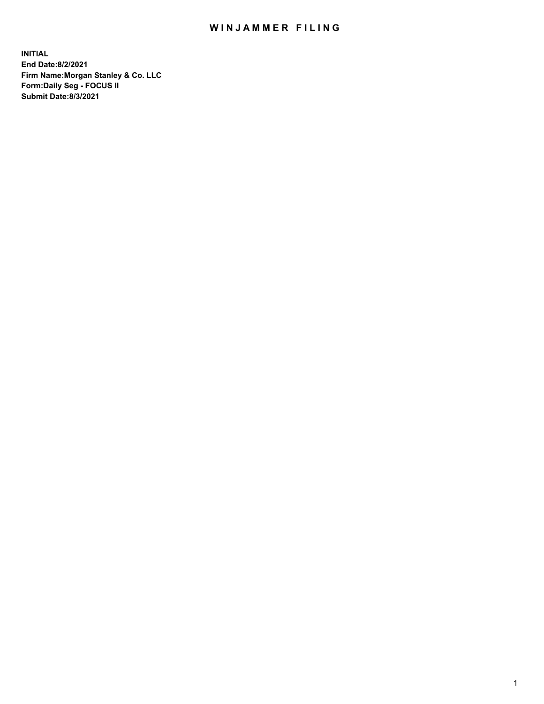## WIN JAMMER FILING

**INITIAL End Date:8/2/2021 Firm Name:Morgan Stanley & Co. LLC Form:Daily Seg - FOCUS II Submit Date:8/3/2021**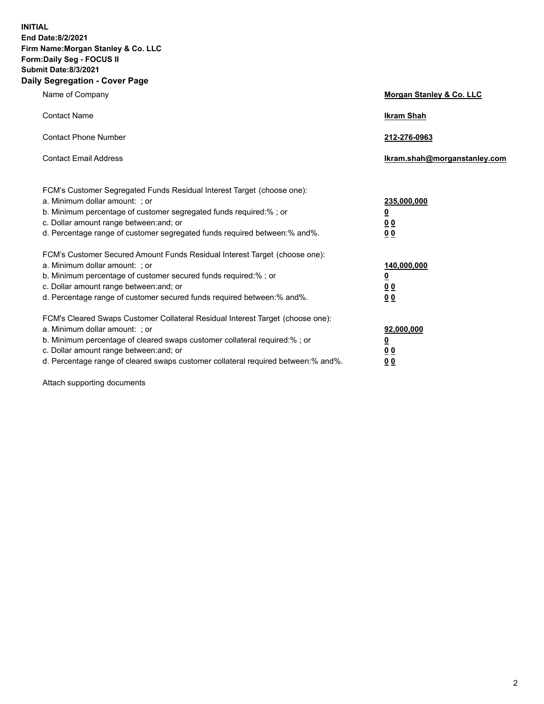**INITIAL End Date:8/2/2021 Firm Name:Morgan Stanley & Co. LLC Form:Daily Seg - FOCUS II Submit Date:8/3/2021 Daily Segregation - Cover Page**

| Name of Company                                                                                                                                                                                                                                                                                                                | Morgan Stanley & Co. LLC                                   |
|--------------------------------------------------------------------------------------------------------------------------------------------------------------------------------------------------------------------------------------------------------------------------------------------------------------------------------|------------------------------------------------------------|
| <b>Contact Name</b>                                                                                                                                                                                                                                                                                                            | <b>Ikram Shah</b>                                          |
| <b>Contact Phone Number</b>                                                                                                                                                                                                                                                                                                    | 212-276-0963                                               |
| <b>Contact Email Address</b>                                                                                                                                                                                                                                                                                                   | lkram.shah@morganstanley.com                               |
| FCM's Customer Segregated Funds Residual Interest Target (choose one):<br>a. Minimum dollar amount: ; or<br>b. Minimum percentage of customer segregated funds required:% ; or<br>c. Dollar amount range between: and; or<br>d. Percentage range of customer segregated funds required between:% and%.                         | 235,000,000<br><u>0</u><br><u>00</u><br>0 <sup>0</sup>     |
| FCM's Customer Secured Amount Funds Residual Interest Target (choose one):<br>a. Minimum dollar amount: ; or<br>b. Minimum percentage of customer secured funds required:%; or<br>c. Dollar amount range between: and; or<br>d. Percentage range of customer secured funds required between:% and%.                            | 140,000,000<br><u>0</u><br><u>0 0</u><br>0 Q               |
| FCM's Cleared Swaps Customer Collateral Residual Interest Target (choose one):<br>a. Minimum dollar amount: ; or<br>b. Minimum percentage of cleared swaps customer collateral required:% ; or<br>c. Dollar amount range between: and; or<br>d. Percentage range of cleared swaps customer collateral required between:% and%. | 92,000,000<br><u>0</u><br>0 <sup>0</sup><br>0 <sub>0</sub> |

Attach supporting documents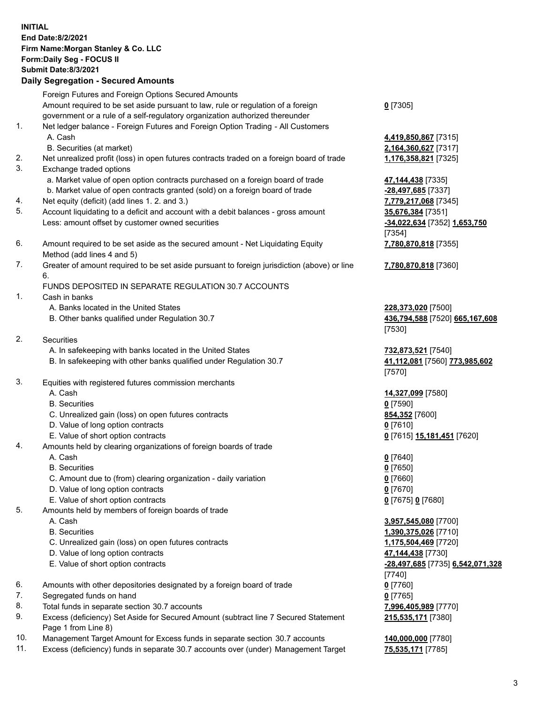| <b>INITIAL</b> | <b>End Date:8/2/2021</b><br>Firm Name: Morgan Stanley & Co. LLC<br>Form: Daily Seg - FOCUS II<br><b>Submit Date:8/3/2021</b><br><b>Daily Segregation - Secured Amounts</b> |                                                  |
|----------------|----------------------------------------------------------------------------------------------------------------------------------------------------------------------------|--------------------------------------------------|
|                | Foreign Futures and Foreign Options Secured Amounts                                                                                                                        |                                                  |
|                | Amount required to be set aside pursuant to law, rule or regulation of a foreign<br>government or a rule of a self-regulatory organization authorized thereunder           | $0$ [7305]                                       |
| 1.             | Net ledger balance - Foreign Futures and Foreign Option Trading - All Customers                                                                                            |                                                  |
|                | A. Cash                                                                                                                                                                    | 4,419,850,867 [7315]                             |
| 2.             | B. Securities (at market)                                                                                                                                                  | 2,164,360,627 [7317]                             |
| 3.             | Net unrealized profit (loss) in open futures contracts traded on a foreign board of trade<br>Exchange traded options                                                       | 1,176,358,821 [7325]                             |
|                | a. Market value of open option contracts purchased on a foreign board of trade                                                                                             | 47,144,438 [7335]                                |
|                | b. Market value of open contracts granted (sold) on a foreign board of trade                                                                                               | -28,497,685 [7337]                               |
| 4.             | Net equity (deficit) (add lines 1.2. and 3.)                                                                                                                               | 7,779,217,068 [7345]                             |
| 5.             | Account liquidating to a deficit and account with a debit balances - gross amount                                                                                          | 35,676,384 [7351]                                |
|                | Less: amount offset by customer owned securities                                                                                                                           | -34,022,634 [7352] 1,653,750<br>[7354]           |
| 6.             | Amount required to be set aside as the secured amount - Net Liquidating Equity<br>Method (add lines 4 and 5)                                                               | 7,780,870,818 [7355]                             |
| 7.             | Greater of amount required to be set aside pursuant to foreign jurisdiction (above) or line                                                                                | 7,780,870,818 [7360]                             |
|                | 6.                                                                                                                                                                         |                                                  |
|                | FUNDS DEPOSITED IN SEPARATE REGULATION 30.7 ACCOUNTS                                                                                                                       |                                                  |
| 1.             | Cash in banks<br>A. Banks located in the United States                                                                                                                     | 228,373,020 [7500]                               |
|                | B. Other banks qualified under Regulation 30.7                                                                                                                             | 436,794,588 [7520] 665,167,608<br>[7530]         |
| 2.             | Securities                                                                                                                                                                 |                                                  |
|                | A. In safekeeping with banks located in the United States                                                                                                                  | 732,873,521 [7540]                               |
|                | B. In safekeeping with other banks qualified under Regulation 30.7                                                                                                         | 41,112,081 [7560] 773,985,602<br>[7570]          |
| 3.             | Equities with registered futures commission merchants<br>A. Cash                                                                                                           | 14,327,099 [7580]                                |
|                | <b>B.</b> Securities                                                                                                                                                       | $0$ [7590]                                       |
|                | C. Unrealized gain (loss) on open futures contracts                                                                                                                        | 854,352 [7600]                                   |
|                | D. Value of long option contracts                                                                                                                                          | $0$ [7610]                                       |
|                | E. Value of short option contracts                                                                                                                                         | 0 <sup>[7615]</sup> 15,181,451 <sup>[7620]</sup> |
| 4.             | Amounts held by clearing organizations of foreign boards of trade                                                                                                          |                                                  |
|                | A. Cash<br><b>B.</b> Securities                                                                                                                                            | $0$ [7640]<br>$0$ [7650]                         |
|                | C. Amount due to (from) clearing organization - daily variation                                                                                                            | $0$ [7660]                                       |
|                | D. Value of long option contracts                                                                                                                                          | $0$ [7670]                                       |
|                | E. Value of short option contracts                                                                                                                                         | 0 [7675] 0 [7680]                                |
| 5.             | Amounts held by members of foreign boards of trade                                                                                                                         |                                                  |
|                | A. Cash                                                                                                                                                                    | 3,957,545,080 [7700]                             |
|                | <b>B.</b> Securities<br>C. Unrealized gain (loss) on open futures contracts                                                                                                | 1,390,375,026 [7710]<br>1,175,504,469 [7720]     |
|                | D. Value of long option contracts                                                                                                                                          | 47,144,438 [7730]                                |
|                | E. Value of short option contracts                                                                                                                                         | -28,497,685 [7735] 6,542,071,328                 |
|                |                                                                                                                                                                            | [7740]                                           |
| 6.             | Amounts with other depositories designated by a foreign board of trade                                                                                                     | $0$ [7760]                                       |
| 7.             | Segregated funds on hand                                                                                                                                                   | $0$ [7765]                                       |
| 8.<br>9.       | Total funds in separate section 30.7 accounts<br>Excess (deficiency) Set Aside for Secured Amount (subtract line 7 Secured Statement                                       | 7,996,405,989 [7770]<br>215,535,171 [7380]       |
|                | Page 1 from Line 8)                                                                                                                                                        |                                                  |

- 10. Management Target Amount for Excess funds in separate section 30.7 accounts **140,000,000** [7780]
- 11. Excess (deficiency) funds in separate 30.7 accounts over (under) Management Target **75,535,171** [7785]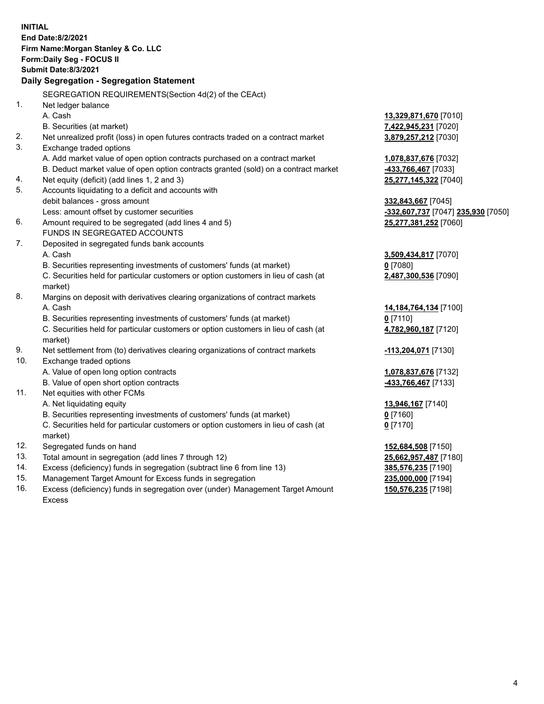| <b>INITIAL</b> | End Date:8/2/2021<br>Firm Name: Morgan Stanley & Co. LLC<br>Form: Daily Seg - FOCUS II<br><b>Submit Date:8/3/2021</b><br>Daily Segregation - Segregation Statement |                                    |
|----------------|--------------------------------------------------------------------------------------------------------------------------------------------------------------------|------------------------------------|
|                | SEGREGATION REQUIREMENTS(Section 4d(2) of the CEAct)                                                                                                               |                                    |
| 1.             | Net ledger balance                                                                                                                                                 |                                    |
|                | A. Cash                                                                                                                                                            | 13,329,871,670 [7010]              |
|                | B. Securities (at market)                                                                                                                                          | 7,422,945,231 [7020]               |
| 2.             | Net unrealized profit (loss) in open futures contracts traded on a contract market                                                                                 | 3,879,257,212 [7030]               |
| 3.             | Exchange traded options                                                                                                                                            |                                    |
|                | A. Add market value of open option contracts purchased on a contract market                                                                                        | 1,078,837,676 [7032]               |
|                | B. Deduct market value of open option contracts granted (sold) on a contract market                                                                                | 433,766,467 [7033]                 |
| 4.             | Net equity (deficit) (add lines 1, 2 and 3)                                                                                                                        | 25,277,145,322 [7040]              |
| 5.             | Accounts liquidating to a deficit and accounts with                                                                                                                |                                    |
|                | debit balances - gross amount                                                                                                                                      | 332,843,667 [7045]                 |
|                | Less: amount offset by customer securities                                                                                                                         | -332,607,737 [7047] 235,930 [7050] |
| 6.             | Amount required to be segregated (add lines 4 and 5)                                                                                                               | 25,277,381,252 [7060]              |
|                | FUNDS IN SEGREGATED ACCOUNTS                                                                                                                                       |                                    |
| 7.             | Deposited in segregated funds bank accounts                                                                                                                        |                                    |
|                | A. Cash                                                                                                                                                            | 3,509,434,817 [7070]               |
|                | B. Securities representing investments of customers' funds (at market)                                                                                             | $0$ [7080]                         |
|                | C. Securities held for particular customers or option customers in lieu of cash (at<br>market)                                                                     | 2,487,300,536 [7090]               |
| 8.             | Margins on deposit with derivatives clearing organizations of contract markets                                                                                     |                                    |
|                | A. Cash                                                                                                                                                            | 14,184,764,134 [7100]              |
|                | B. Securities representing investments of customers' funds (at market)                                                                                             | $0$ [7110]                         |
|                | C. Securities held for particular customers or option customers in lieu of cash (at<br>market)                                                                     | 4,782,960,187 [7120]               |
| 9.             | Net settlement from (to) derivatives clearing organizations of contract markets                                                                                    | -113,204,071 [7130]                |
| 10.            | Exchange traded options                                                                                                                                            |                                    |
|                | A. Value of open long option contracts                                                                                                                             | 1,078,837,676 [7132]               |
|                | B. Value of open short option contracts                                                                                                                            | 433,766,467 [7133]                 |
| 11.            | Net equities with other FCMs                                                                                                                                       |                                    |
|                | A. Net liquidating equity                                                                                                                                          | 13,946,167 [7140]                  |
|                | B. Securities representing investments of customers' funds (at market)                                                                                             | <u>0</u> [7160]                    |
|                | C. Securities held for particular customers or option customers in lieu of cash (at<br>market)                                                                     | $0$ [7170]                         |
| 12.            | Segregated funds on hand                                                                                                                                           | 152,684,508 [7150]                 |
| 13.            | Total amount in segregation (add lines 7 through 12)                                                                                                               | 25,662,957,487 [7180]              |
| 14.            | Excess (deficiency) funds in segregation (subtract line 6 from line 13)                                                                                            | 385,576,235 [7190]                 |
| 15.            | Management Target Amount for Excess funds in segregation                                                                                                           | 235,000,000 [7194]                 |
|                |                                                                                                                                                                    |                                    |

16. Excess (deficiency) funds in segregation over (under) Management Target Amount Excess

**150,576,235** [7198]